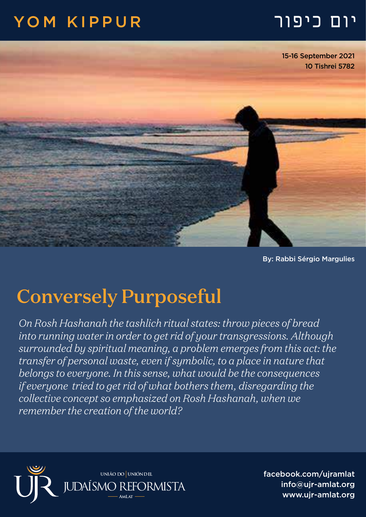## יום כיפור KIPPUR YOM



By: Rabbi Sérgio Margulies

## Conversely Purposeful

*On Rosh Hashanah the tashlich ritual states: throw pieces of bread into running water in order to get rid of your transgressions. Although surrounded by spiritual meaning, a problem emerges from this act: the transfer of personal waste, even if symbolic, to a place in nature that belongs to everyone. In this sense, what would be the consequences if everyone tried to get rid of what bothers them, disregarding the collective concept so emphasized on Rosh Hashanah, when we remember the creation of the world?* 



facebook.com/ujramlat info@ujr-amlat.org www.uir-amlat.org جمعة info@ujr-amlat.org<br>-<br>-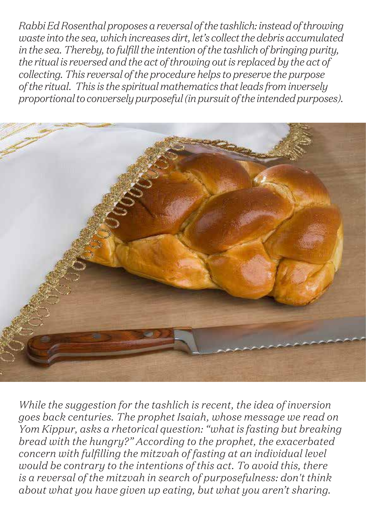*Rabbi Ed Rosenthal proposes a reversal of the tashlich: instead of throwing waste into the sea, which increases dirt, let's collect the debris accumulated in the sea. Thereby, to fulfill the intention of the tashlich of bringing purity, the ritual is reversed and the act of throwing out is replaced by the act of collecting. This reversal of the procedure helps to preserve the purpose of the ritual. This is the spiritual mathematics that leads from inversely proportional to conversely purposeful (in pursuit of the intended purposes).*



*While the suggestion for the tashlich is recent, the idea of inversion goes back centuries. The prophet Isaiah, whose message we read on Yom Kippur, asks a rhetorical question: "what is fasting but breaking bread with the hungry?" According to the prophet, the exacerbated concern with fulfilling the mitzvah of fasting at an individual level would be contrary to the intentions of this act. To avoid this, there is a reversal of the mitzvah in search of purposefulness: don't think about what you have given up eating, but what you aren't sharing.*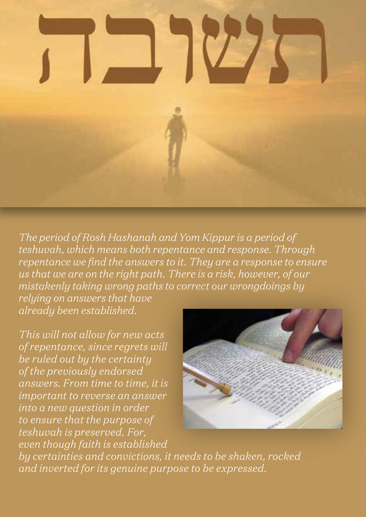

*The period of Rosh Hashanah and Yom Kippur is a period of teshuvah, which means both repentance and response. Through repentance we find the answers to it. They are a response to ensure us that we are on the right path. There is a risk, however, of our mistakenly taking wrong paths to correct our wrongdoings by relying on answers that have already been established.* 

*This will not allow for new acts of repentance, since regrets will be ruled out by the certainty of the previously endorsed answers. From time to time, it is important to reverse an answer into a new question in order to ensure that the purpose of teshuvah is preserved. For, even though faith is established* 



*by certainties and convictions, it needs to be shaken, rocked and inverted for its genuine purpose to be expressed.*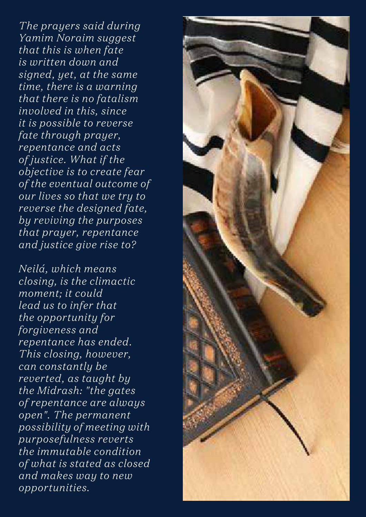*The prayers said during Yamim Noraim suggest that this is when fate is written down and signed, yet, at the same time, there is a warning that there is no fatalism involved in this, since it is possible to reverse fate through prayer, repentance and acts of justice. What if the objective is to create fear of the eventual outcome of our lives so that we try to reverse the designed fate, by reviving the purposes that prayer, repentance and justice give rise to?*

*Neilá, which means closing, is the climactic moment; it could lead us to infer that the opportunity for forgiveness and repentance has ended. This closing, however, can constantly be reverted, as taught by the Midrash: "the gates of repentance are always open". The permanent possibility of meeting with purposefulness reverts the immutable condition of what is stated as closed and makes way to new opportunities.*